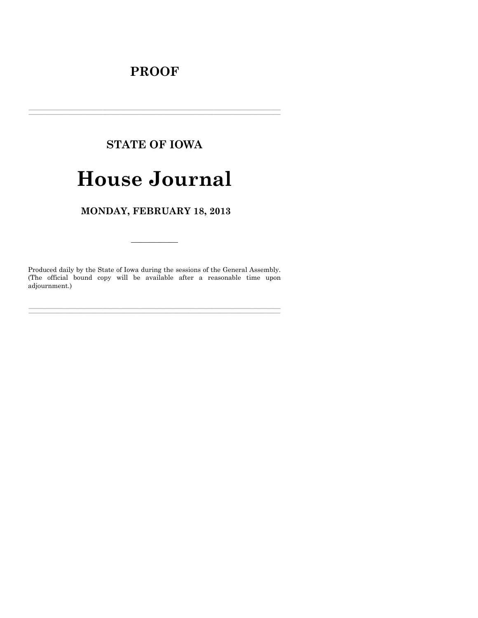# **PROOF**

# **STATE OF IOWA**

# **House Journal**

# MONDAY, FEBRUARY 18, 2013

Produced daily by the State of Iowa during the sessions of the General Assembly. (The official bound copy will be available after a reasonable time upon adjournment.)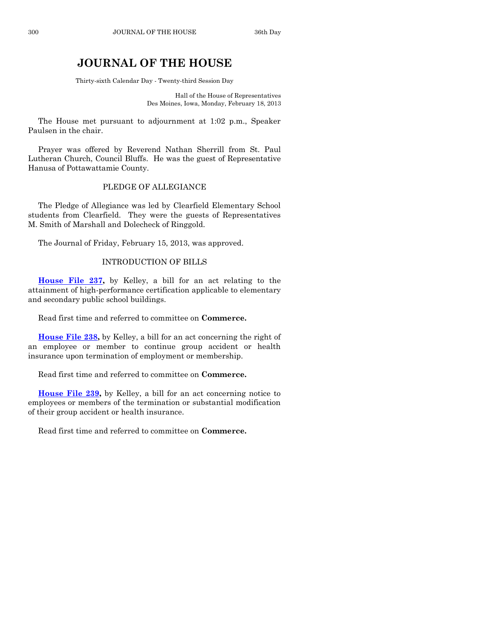# **JOURNAL OF THE HOUSE**

Thirty-sixth Calendar Day - Twenty-third Session Day

Hall of the House of Representatives Des Moines, Iowa, Monday, February 18, 2013

The House met pursuant to adjournment at 1:02 p.m., Speaker Paulsen in the chair.

Prayer was offered by Reverend Nathan Sherrill from St. Paul Lutheran Church, Council Bluffs. He was the guest of Representative Hanusa of Pottawattamie County.

#### PLEDGE OF ALLEGIANCE

The Pledge of Allegiance was led by Clearfield Elementary School students from Clearfield. They were the guests of Representatives M. Smith of Marshall and Dolecheck of Ringgold.

The Journal of Friday, February 15, 2013, was approved.

#### INTRODUCTION OF BILLS

**[House File 237,](http://coolice.legis.state.ia.us/Cool-ICE/default.asp?Category=billinfo&Service=Billbook&frame=1&GA=85&hbill=HF237)** by Kelley, a bill for an act relating to the attainment of high-performance certification applicable to elementary and secondary public school buildings.

Read first time and referred to committee on **Commerce.**

**[House File 238,](http://coolice.legis.state.ia.us/Cool-ICE/default.asp?Category=billinfo&Service=Billbook&frame=1&GA=85&hbill=HF238)** by Kelley, a bill for an act concerning the right of an employee or member to continue group accident or health insurance upon termination of employment or membership.

Read first time and referred to committee on **Commerce.**

**[House File 239,](http://coolice.legis.state.ia.us/Cool-ICE/default.asp?Category=billinfo&Service=Billbook&frame=1&GA=85&hbill=HF239)** by Kelley, a bill for an act concerning notice to employees or members of the termination or substantial modification of their group accident or health insurance.

Read first time and referred to committee on **Commerce.**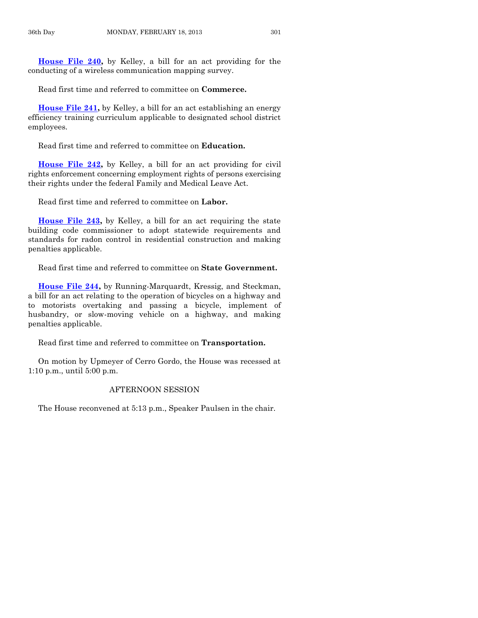**[House File 240,](http://coolice.legis.state.ia.us/Cool-ICE/default.asp?Category=billinfo&Service=Billbook&frame=1&GA=85&hbill=HF240)** by Kelley, a bill for an act providing for the conducting of a wireless communication mapping survey.

Read first time and referred to committee on **Commerce.**

**[House File 241,](http://coolice.legis.state.ia.us/Cool-ICE/default.asp?Category=billinfo&Service=Billbook&frame=1&GA=85&hbill=HF241)** by Kelley, a bill for an act establishing an energy efficiency training curriculum applicable to designated school district employees.

Read first time and referred to committee on **Education.**

**[House File 242,](http://coolice.legis.state.ia.us/Cool-ICE/default.asp?Category=billinfo&Service=Billbook&frame=1&GA=85&hbill=HF242)** by Kelley, a bill for an act providing for civil rights enforcement concerning employment rights of persons exercising their rights under the federal Family and Medical Leave Act.

Read first time and referred to committee on **Labor.**

**[House File 243,](http://coolice.legis.state.ia.us/Cool-ICE/default.asp?Category=billinfo&Service=Billbook&frame=1&GA=85&hbill=HF243)** by Kelley, a bill for an act requiring the state building code commissioner to adopt statewide requirements and standards for radon control in residential construction and making penalties applicable.

Read first time and referred to committee on **State Government.**

**[House File 244,](http://coolice.legis.state.ia.us/Cool-ICE/default.asp?Category=billinfo&Service=Billbook&frame=1&GA=85&hbill=HF244)** by Running-Marquardt, Kressig, and Steckman, a bill for an act relating to the operation of bicycles on a highway and to motorists overtaking and passing a bicycle, implement of husbandry, or slow-moving vehicle on a highway, and making penalties applicable.

Read first time and referred to committee on **Transportation.**

On motion by Upmeyer of Cerro Gordo, the House was recessed at 1:10 p.m., until 5:00 p.m.

#### AFTERNOON SESSION

The House reconvened at 5:13 p.m., Speaker Paulsen in the chair.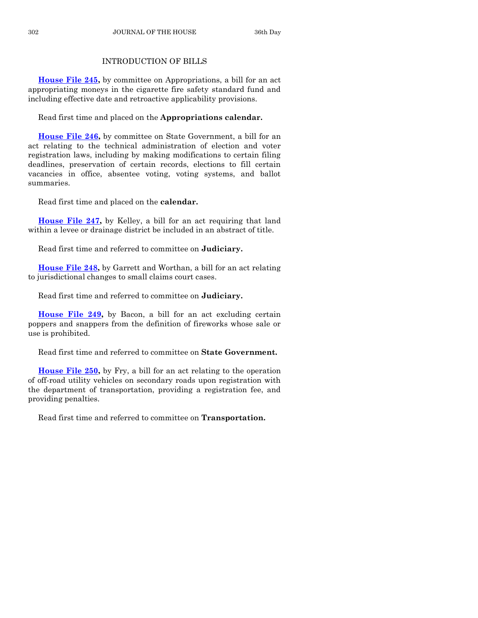# INTRODUCTION OF BILLS

**[House File 245,](http://coolice.legis.state.ia.us/Cool-ICE/default.asp?Category=billinfo&Service=Billbook&frame=1&GA=85&hbill=HF245)** by committee on Appropriations, a bill for an act appropriating moneys in the cigarette fire safety standard fund and including effective date and retroactive applicability provisions.

Read first time and placed on the **Appropriations calendar.**

**[House File 246,](http://coolice.legis.state.ia.us/Cool-ICE/default.asp?Category=billinfo&Service=Billbook&frame=1&GA=85&hbill=HF246)** by committee on State Government, a bill for an act relating to the technical administration of election and voter registration laws, including by making modifications to certain filing deadlines, preservation of certain records, elections to fill certain vacancies in office, absentee voting, voting systems, and ballot summaries.

Read first time and placed on the **calendar.**

**[House File 247,](http://coolice.legis.state.ia.us/Cool-ICE/default.asp?Category=billinfo&Service=Billbook&frame=1&GA=85&hbill=HF247)** by Kelley, a bill for an act requiring that land within a levee or drainage district be included in an abstract of title.

Read first time and referred to committee on **Judiciary.**

**[House File 248,](http://coolice.legis.state.ia.us/Cool-ICE/default.asp?Category=billinfo&Service=Billbook&frame=1&GA=85&hbill=HF248)** by Garrett and Worthan, a bill for an act relating to jurisdictional changes to small claims court cases.

Read first time and referred to committee on **Judiciary.**

**[House File 249,](http://coolice.legis.state.ia.us/Cool-ICE/default.asp?Category=billinfo&Service=Billbook&frame=1&GA=85&hbill=HF249)** by Bacon, a bill for an act excluding certain poppers and snappers from the definition of fireworks whose sale or use is prohibited.

Read first time and referred to committee on **State Government.**

**[House File 250,](http://coolice.legis.state.ia.us/Cool-ICE/default.asp?Category=billinfo&Service=Billbook&frame=1&GA=85&hbill=HF250)** by Fry, a bill for an act relating to the operation of off-road utility vehicles on secondary roads upon registration with the department of transportation, providing a registration fee, and providing penalties.

Read first time and referred to committee on **Transportation.**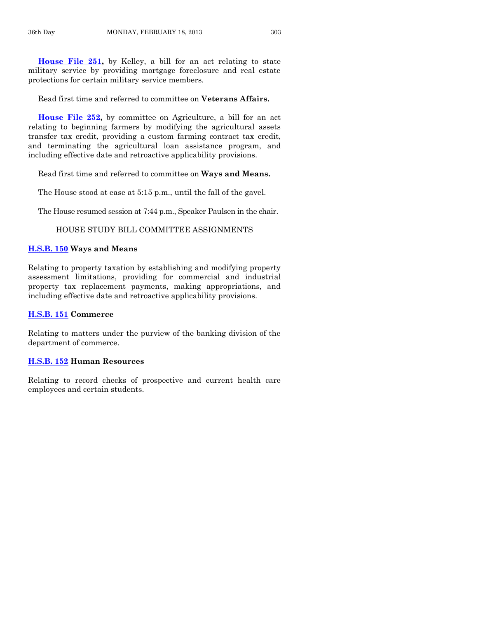**[House File 251,](http://coolice.legis.state.ia.us/Cool-ICE/default.asp?Category=billinfo&Service=Billbook&frame=1&GA=85&hbill=HF251)** by Kelley, a bill for an act relating to state military service by providing mortgage foreclosure and real estate protections for certain military service members.

Read first time and referred to committee on **Veterans Affairs.**

**[House File 252,](http://coolice.legis.state.ia.us/Cool-ICE/default.asp?Category=billinfo&Service=Billbook&frame=1&GA=85&hbill=HF252)** by committee on Agriculture, a bill for an act relating to beginning farmers by modifying the agricultural assets transfer tax credit, providing a custom farming contract tax credit, and terminating the agricultural loan assistance program, and including effective date and retroactive applicability provisions.

Read first time and referred to committee on **Ways and Means.**

The House stood at ease at 5:15 p.m., until the fall of the gavel.

The House resumed session at 7:44 p.m., Speaker Paulsen in the chair.

#### HOUSE STUDY BILL COMMITTEE ASSIGNMENTS

#### **[H.S.B. 150](http://coolice.legis.state.ia.us/Cool-ICE/default.asp?Category=billinfo&Service=Billbook&frame=1&GA=85&hbill=HSB150) Ways and Means**

Relating to property taxation by establishing and modifying property assessment limitations, providing for commercial and industrial property tax replacement payments, making appropriations, and including effective date and retroactive applicability provisions.

#### **[H.S.B. 151](http://coolice.legis.state.ia.us/Cool-ICE/default.asp?Category=billinfo&Service=Billbook&frame=1&GA=85&hbill=HSB151) Commerce**

Relating to matters under the purview of the banking division of the department of commerce.

#### **[H.S.B. 152](http://coolice.legis.state.ia.us/Cool-ICE/default.asp?Category=billinfo&Service=Billbook&frame=1&GA=85&hbill=HSB152) Human Resources**

Relating to record checks of prospective and current health care employees and certain students.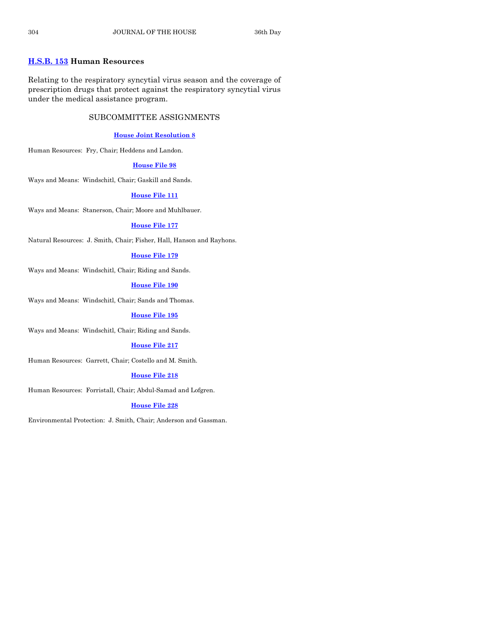# **[H.S.B. 153](http://coolice.legis.state.ia.us/Cool-ICE/default.asp?Category=billinfo&Service=Billbook&frame=1&GA=85&hbill=HSB153) Human Resources**

Relating to the respiratory syncytial virus season and the coverage of prescription drugs that protect against the respiratory syncytial virus under the medical assistance program.

# SUBCOMMITTEE ASSIGNMENTS

# **[House Joint Resolution 8](http://coolice.legis.state.ia.us/Cool-ICE/default.asp?Category=billinfo&Service=Billbook&frame=1&GA=85&hbill=HJR8)**

Human Resources: Fry, Chair; Heddens and Landon.

## **[House File 98](http://coolice.legis.state.ia.us/Cool-ICE/default.asp?Category=billinfo&Service=Billbook&frame=1&GA=85&hbill=HF98)**

Ways and Means: Windschitl, Chair; Gaskill and Sands.

# **[House File 111](http://coolice.legis.state.ia.us/Cool-ICE/default.asp?Category=billinfo&Service=Billbook&frame=1&GA=85&hbill=HF111)**

Ways and Means: Stanerson, Chair; Moore and Muhlbauer.

## **[House File 177](http://coolice.legis.state.ia.us/Cool-ICE/default.asp?Category=billinfo&Service=Billbook&frame=1&GA=85&hbill=HF177)**

Natural Resources: J. Smith, Chair; Fisher, Hall, Hanson and Rayhons.

#### **[House File 179](http://coolice.legis.state.ia.us/Cool-ICE/default.asp?Category=billinfo&Service=Billbook&frame=1&GA=85&hbill=HF179)**

Ways and Means: Windschitl, Chair; Riding and Sands.

#### **[House File 190](http://coolice.legis.state.ia.us/Cool-ICE/default.asp?Category=billinfo&Service=Billbook&frame=1&GA=85&hbill=HF190)**

Ways and Means: Windschitl, Chair; Sands and Thomas.

#### **[House File 195](http://coolice.legis.state.ia.us/Cool-ICE/default.asp?Category=billinfo&Service=Billbook&frame=1&GA=85&hbill=HF195)**

Ways and Means: Windschitl, Chair; Riding and Sands.

#### **[House File 217](http://coolice.legis.state.ia.us/Cool-ICE/default.asp?Category=billinfo&Service=Billbook&frame=1&GA=85&hbill=HF217)**

Human Resources: Garrett, Chair; Costello and M. Smith.

#### **[House File 218](http://coolice.legis.state.ia.us/Cool-ICE/default.asp?Category=billinfo&Service=Billbook&frame=1&GA=85&hbill=HF218)**

Human Resources: Forristall, Chair; Abdul-Samad and Lofgren.

#### **[House File 228](http://coolice.legis.state.ia.us/Cool-ICE/default.asp?Category=billinfo&Service=Billbook&frame=1&GA=85&hbill=HF228)**

Environmental Protection: J. Smith, Chair; Anderson and Gassman.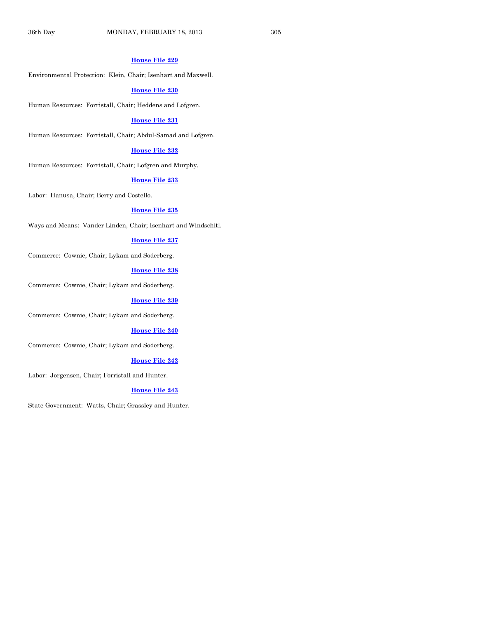#### **[House File 229](http://coolice.legis.state.ia.us/Cool-ICE/default.asp?Category=billinfo&Service=Billbook&frame=1&GA=85&hbill=HF229)**

Environmental Protection: Klein, Chair; Isenhart and Maxwell.

#### **[House File 230](http://coolice.legis.state.ia.us/Cool-ICE/default.asp?Category=billinfo&Service=Billbook&frame=1&GA=85&hbill=HF230)**

Human Resources: Forristall, Chair; Heddens and Lofgren.

#### **[House File 231](http://coolice.legis.state.ia.us/Cool-ICE/default.asp?Category=billinfo&Service=Billbook&frame=1&GA=85&hbill=HF231)**

Human Resources: Forristall, Chair; Abdul-Samad and Lofgren.

#### **[House File 232](http://coolice.legis.state.ia.us/Cool-ICE/default.asp?Category=billinfo&Service=Billbook&frame=1&GA=85&hbill=HF232)**

Human Resources: Forristall, Chair; Lofgren and Murphy.

#### **[House File 233](http://coolice.legis.state.ia.us/Cool-ICE/default.asp?Category=billinfo&Service=Billbook&frame=1&GA=85&hbill=HF233)**

Labor: Hanusa, Chair; Berry and Costello.

#### **[House File 235](http://coolice.legis.state.ia.us/Cool-ICE/default.asp?Category=billinfo&Service=Billbook&frame=1&GA=85&hbill=HF235)**

Ways and Means: Vander Linden, Chair; Isenhart and Windschitl.

#### **[House File 237](http://coolice.legis.state.ia.us/Cool-ICE/default.asp?Category=billinfo&Service=Billbook&frame=1&GA=85&hbill=HF237)**

Commerce: Cownie, Chair; Lykam and Soderberg.

#### **[House File 238](http://coolice.legis.state.ia.us/Cool-ICE/default.asp?Category=billinfo&Service=Billbook&frame=1&GA=85&hbill=HF238)**

Commerce: Cownie, Chair; Lykam and Soderberg.

#### **[House File 239](http://coolice.legis.state.ia.us/Cool-ICE/default.asp?Category=billinfo&Service=Billbook&frame=1&GA=85&hbill=HF239)**

Commerce: Cownie, Chair; Lykam and Soderberg.

#### **[House File 240](http://coolice.legis.state.ia.us/Cool-ICE/default.asp?Category=billinfo&Service=Billbook&frame=1&GA=85&hbill=HF240)**

Commerce: Cownie, Chair; Lykam and Soderberg.

#### **[House File 242](http://coolice.legis.state.ia.us/Cool-ICE/default.asp?Category=billinfo&Service=Billbook&frame=1&GA=85&hbill=HF242)**

Labor: Jorgensen, Chair; Forristall and Hunter.

#### **[House File 243](http://coolice.legis.state.ia.us/Cool-ICE/default.asp?Category=billinfo&Service=Billbook&frame=1&GA=85&hbill=HF243)**

State Government: Watts, Chair; Grassley and Hunter.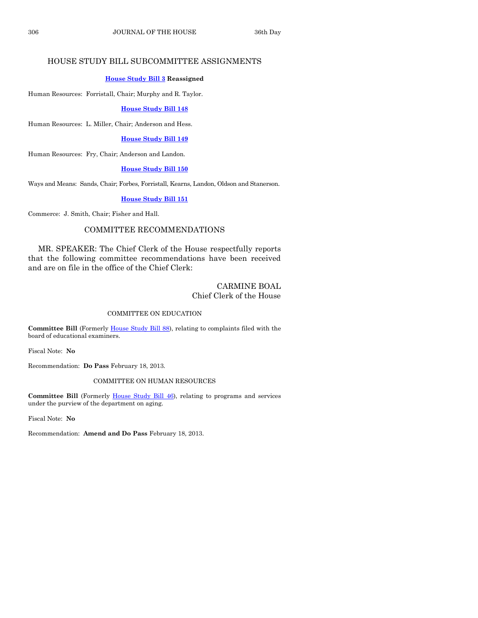# HOUSE STUDY BILL SUBCOMMITTEE ASSIGNMENTS

# **[House Study Bill](http://coolice.legis.state.ia.us/Cool-ICE/default.asp?Category=billinfo&Service=Billbook&frame=1&GA=85&hbill=HSB3) 3 Reassigned**

Human Resources: Forristall, Chair; Murphy and R. Taylor.

# **[House Study Bill 148](http://coolice.legis.state.ia.us/Cool-ICE/default.asp?Category=billinfo&Service=Billbook&frame=1&GA=85&hbill=HSB148)**

Human Resources: L. Miller, Chair; Anderson and Hess.

# **[House Study Bill 149](http://coolice.legis.state.ia.us/Cool-ICE/default.asp?Category=billinfo&Service=Billbook&frame=1&GA=85&hbill=HSB149)**

Human Resources: Fry, Chair; Anderson and Landon.

# **[House Study Bill 150](http://coolice.legis.state.ia.us/Cool-ICE/default.asp?Category=billinfo&Service=Billbook&frame=1&GA=85&hbill=HSB150)**

Ways and Means: Sands, Chair; Forbes, Forristall, Kearns, Landon, Oldson and Stanerson.

# **[House Study Bill 151](http://coolice.legis.state.ia.us/Cool-ICE/default.asp?Category=billinfo&Service=Billbook&frame=1&GA=85&hbill=HSB151)**

Commerce: J. Smith, Chair; Fisher and Hall.

# COMMITTEE RECOMMENDATIONS

MR. SPEAKER: The Chief Clerk of the House respectfully reports that the following committee recommendations have been received and are on file in the office of the Chief Clerk:

# CARMINE BOAL Chief Clerk of the House

# COMMITTEE ON EDUCATION

**Committee Bill** (Formerly [House Study Bill 88\)](http://coolice.legis.state.ia.us/Cool-ICE/default.asp?Category=billinfo&Service=Billbook&frame=1&GA=85&hbill=HSB88), relating to complaints filed with the board of educational examiners.

Fiscal Note: **No**

Recommendation: **Do Pass** February 18, 2013.

# COMMITTEE ON HUMAN RESOURCES

**Committee Bill** (Formerly [House Study Bill 46\)](http://coolice.legis.state.ia.us/Cool-ICE/default.asp?Category=billinfo&Service=Billbook&frame=1&GA=85&hbill=HSB46), relating to programs and services under the purview of the department on aging.

Fiscal Note: **No**

Recommendation: **Amend and Do Pass** February 18, 2013.